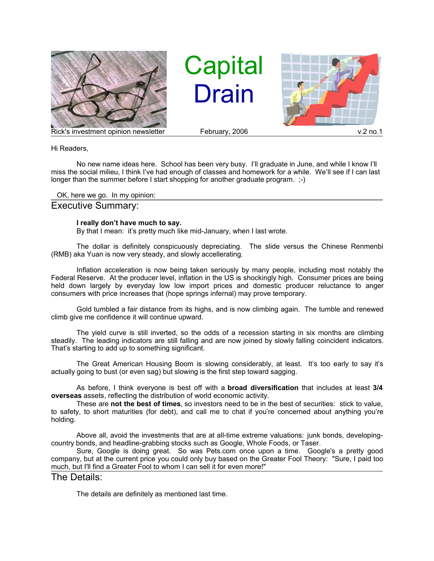

**Capital Drain** 



Hi Readers,

No new name ideas here. School has been very busy. I'll graduate in June, and while I know I'll miss the social milieu, I think I've had enough of classes and homework for a while. We'll see if I can last longer than the summer before I start shopping for another graduate program. ;-)

OK, here we go. In my opinion:

## Executive Summary:

## **I really don't have much to say.**

By that I mean: it's pretty much like mid-January, when I last wrote.

The dollar is definitely conspicuously depreciating. The slide versus the Chinese Renmenbi (RMB) aka Yuan is now very steady, and slowly accellerating.

Inflation acceleration is now being taken seriously by many people, including most notably the Federal Reserve. At the producer level, inflation in the US is shockingly high. Consumer prices are being held down largely by everyday low low import prices and domestic producer reluctance to anger consumers with price increases that (hope springs infernal) may prove temporary.

Gold tumbled a fair distance from its highs, and is now climbing again. The tumble and renewed climb give me confidence it will continue upward.

The yield curve is still inverted, so the odds of a recession starting in six months are climbing steadily. The leading indicators are still falling and are now joined by slowly falling coincident indicators. That's starting to add up to something significant.

The Great American Housing Boom is slowing considerably, at least. It's too early to say it's actually going to bust (or even sag) but slowing is the first step toward sagging.

As before, I think everyone is best off with a **broad diversification** that includes at least **3/4 overseas** assets, reflecting the distribution of world economic activity.

These are **not the best of times**, so investors need to be in the best of securities: stick to value, to safety, to short maturities (for debt), and call me to chat if you're concerned about anything you're holding.

Above all, avoid the investments that are at all-time extreme valuations: junk bonds, developingcountry bonds, and headline-grabbing stocks such as Google, Whole Foods, or Taser.

Sure, Google is doing great. So was Pets.com once upon a time. Google's a pretty good company, but at the current price you could only buy based on the Greater Fool Theory: "Sure, I paid too much, but I'll find a Greater Fool to whom I can sell it for even more!"

The Details:

The details are definitely as mentioned last time.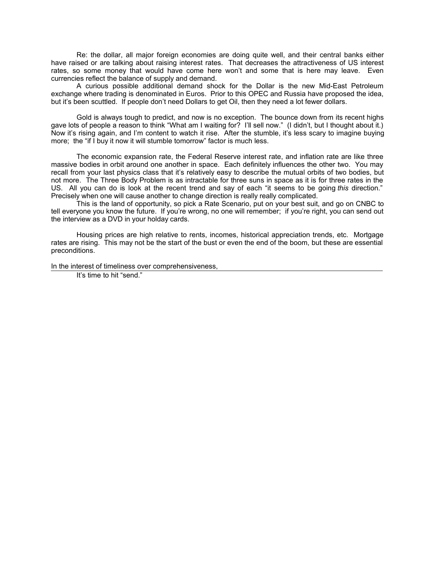Re: the dollar, all major foreign economies are doing quite well, and their central banks either have raised or are talking about raising interest rates. That decreases the attractiveness of US interest rates, so some money that would have come here won't and some that is here may leave. Even currencies reflect the balance of supply and demand.

A curious possible additional demand shock for the Dollar is the new Mid-East Petroleum exchange where trading is denominated in Euros. Prior to this OPEC and Russia have proposed the idea, but it's been scuttled. If people don't need Dollars to get Oil, then they need a lot fewer dollars.

Gold is always tough to predict, and now is no exception. The bounce down from its recent highs gave lots of people a reason to think "What am I waiting for? I'll sell now." (I didn't, but I thought about it.) Now it's rising again, and I'm content to watch it rise. After the stumble, it's less scary to imagine buying more; the "if I buy it now it will stumble tomorrow" factor is much less.

The economic expansion rate, the Federal Reserve interest rate, and inflation rate are like three massive bodies in orbit around one another in space. Each definitely influences the other two. You may recall from your last physics class that it's relatively easy to describe the mutual orbits of two bodies, but not more. The Three Body Problem is as intractable for three suns in space as it is for three rates in the US. All you can do is look at the recent trend and say of each "it seems to be going *this* direction." Precisely when one will cause another to change direction is really really complicated.

This is the land of opportunity, so pick a Rate Scenario, put on your best suit, and go on CNBC to tell everyone you know the future. If you're wrong, no one will remember; if you're right, you can send out the interview as a DVD in your holday cards.

Housing prices are high relative to rents, incomes, historical appreciation trends, etc. Mortgage rates are rising. This may not be the start of the bust or even the end of the boom, but these are essential preconditions.

In the interest of timeliness over comprehensiveness,

It's time to hit "send."